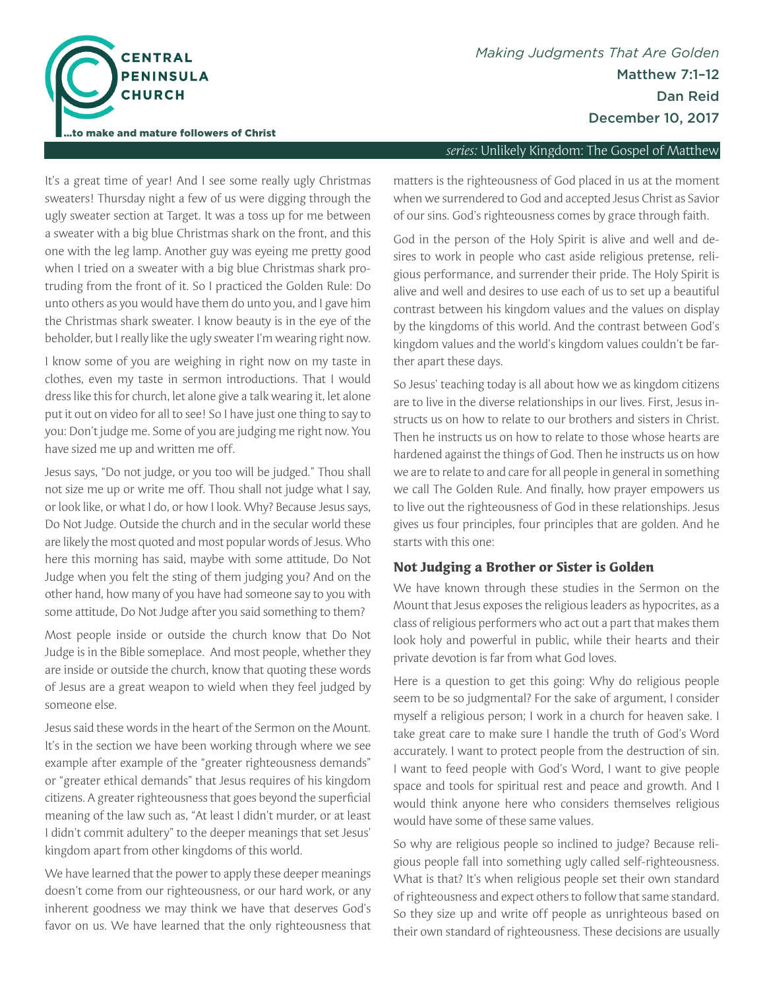

#### *series:* Unlikely Kingdom: The Gospel of Matthew

It's a great time of year! And I see some really ugly Christmas sweaters! Thursday night a few of us were digging through the ugly sweater section at Target. It was a toss up for me between a sweater with a big blue Christmas shark on the front, and this one with the leg lamp. Another guy was eyeing me pretty good when I tried on a sweater with a big blue Christmas shark protruding from the front of it. So I practiced the Golden Rule: Do unto others as you would have them do unto you, and I gave him the Christmas shark sweater. I know beauty is in the eye of the beholder, but I really like the ugly sweater I'm wearing right now.

I know some of you are weighing in right now on my taste in clothes, even my taste in sermon introductions. That I would dress like this for church, let alone give a talk wearing it, let alone put it out on video for all to see! So I have just one thing to say to you: Don't judge me. Some of you are judging me right now. You have sized me up and written me off.

Jesus says, "Do not judge, or you too will be judged." Thou shall not size me up or write me off. Thou shall not judge what I say, or look like, or what I do, or how I look. Why? Because Jesus says, Do Not Judge. Outside the church and in the secular world these are likely the most quoted and most popular words of Jesus. Who here this morning has said, maybe with some attitude, Do Not Judge when you felt the sting of them judging you? And on the other hand, how many of you have had someone say to you with some attitude, Do Not Judge after you said something to them?

Most people inside or outside the church know that Do Not Judge is in the Bible someplace. And most people, whether they are inside or outside the church, know that quoting these words of Jesus are a great weapon to wield when they feel judged by someone else.

Jesus said these words in the heart of the Sermon on the Mount. It's in the section we have been working through where we see example after example of the "greater righteousness demands" or "greater ethical demands" that Jesus requires of his kingdom citizens. A greater righteousness that goes beyond the superfcial meaning of the law such as, "At least I didn't murder, or at least I didn't commit adultery" to the deeper meanings that set Jesus' kingdom apart from other kingdoms of this world.

We have learned that the power to apply these deeper meanings doesn't come from our righteousness, or our hard work, or any inherent goodness we may think we have that deserves God's favor on us. We have learned that the only righteousness that matters is the righteousness of God placed in us at the moment when we surrendered to God and accepted Jesus Christ as Savior of our sins. God's righteousness comes by grace through faith.

God in the person of the Holy Spirit is alive and well and desires to work in people who cast aside religious pretense, religious performance, and surrender their pride. The Holy Spirit is alive and well and desires to use each of us to set up a beautiful contrast between his kingdom values and the values on display by the kingdoms of this world. And the contrast between God's kingdom values and the world's kingdom values couldn't be farther apart these days.

So Jesus' teaching today is all about how we as kingdom citizens are to live in the diverse relationships in our lives. First, Jesus instructs us on how to relate to our brothers and sisters in Christ. Then he instructs us on how to relate to those whose hearts are hardened against the things of God. Then he instructs us on how we are to relate to and care for all people in general in something we call The Golden Rule. And fnally, how prayer empowers us to live out the righteousness of God in these relationships. Jesus gives us four principles, four principles that are golden. And he starts with this one:

#### **Not Judging a Brother or Sister is Golden**

We have known through these studies in the Sermon on the Mount that Jesus exposes the religious leaders as hypocrites, as a class of religious performers who act out a part that makes them look holy and powerful in public, while their hearts and their private devotion is far from what God loves.

Here is a question to get this going: Why do religious people seem to be so judgmental? For the sake of argument, I consider myself a religious person; I work in a church for heaven sake. I take great care to make sure I handle the truth of God's Word accurately. I want to protect people from the destruction of sin. I want to feed people with God's Word, I want to give people space and tools for spiritual rest and peace and growth. And I would think anyone here who considers themselves religious would have some of these same values.

So why are religious people so inclined to judge? Because religious people fall into something ugly called self-righteousness. What is that? It's when religious people set their own standard of righteousness and expect others to follow that same standard. So they size up and write off people as unrighteous based on their own standard of righteousness. These decisions are usually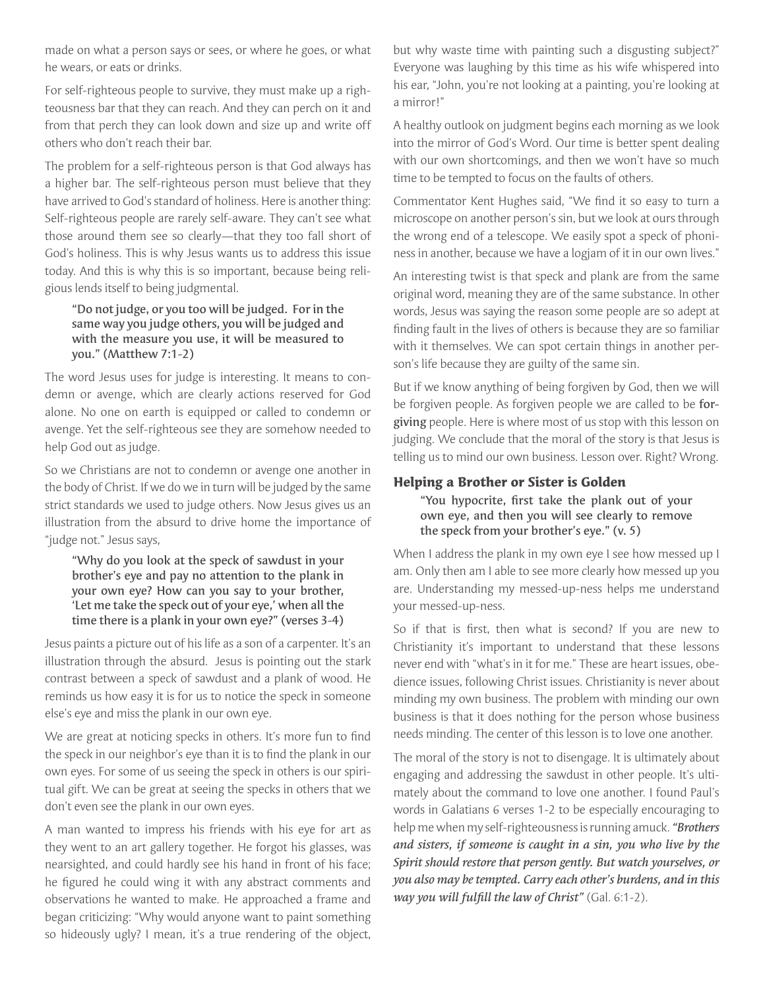made on what a person says or sees, or where he goes, or what he wears, or eats or drinks.

For self-righteous people to survive, they must make up a righteousness bar that they can reach. And they can perch on it and from that perch they can look down and size up and write off others who don't reach their bar.

The problem for a self-righteous person is that God always has a higher bar. The self-righteous person must believe that they have arrived to God's standard of holiness. Here is another thing: Self-righteous people are rarely self-aware. They can't see what those around them see so clearly—that they too fall short of God's holiness. This is why Jesus wants us to address this issue today. And this is why this is so important, because being religious lends itself to being judgmental.

### "Do not judge, or you too will be judged. For in the same way you judge others, you will be judged and with the measure you use, it will be measured to you." (Matthew 7:1-2)

The word Jesus uses for judge is interesting. It means to condemn or avenge, which are clearly actions reserved for God alone. No one on earth is equipped or called to condemn or avenge. Yet the self-righteous see they are somehow needed to help God out as judge.

So we Christians are not to condemn or avenge one another in the body of Christ. If we do we in turn will be judged by the same strict standards we used to judge others. Now Jesus gives us an illustration from the absurd to drive home the importance of "judge not." Jesus says,

### "Why do you look at the speck of sawdust in your brother's eye and pay no attention to the plank in your own eye? How can you say to your brother, 'Let me take the speck out of your eye,' when all the time there is a plank in your own eye?" (verses 3-4)

Jesus paints a picture out of his life as a son of a carpenter. It's an illustration through the absurd. Jesus is pointing out the stark contrast between a speck of sawdust and a plank of wood. He reminds us how easy it is for us to notice the speck in someone else's eye and miss the plank in our own eye.

We are great at noticing specks in others. It's more fun to fnd the speck in our neighbor's eye than it is to fnd the plank in our own eyes. For some of us seeing the speck in others is our spiritual gift. We can be great at seeing the specks in others that we don't even see the plank in our own eyes.

A man wanted to impress his friends with his eye for art as they went to an art gallery together. He forgot his glasses, was nearsighted, and could hardly see his hand in front of his face; he fgured he could wing it with any abstract comments and observations he wanted to make. He approached a frame and began criticizing: "Why would anyone want to paint something so hideously ugly? I mean, it's a true rendering of the object,

but why waste time with painting such a disgusting subject?" Everyone was laughing by this time as his wife whispered into his ear, "John, you're not looking at a painting, you're looking at a mirror!"

A healthy outlook on judgment begins each morning as we look into the mirror of God's Word. Our time is better spent dealing with our own shortcomings, and then we won't have so much time to be tempted to focus on the faults of others.

Commentator Kent Hughes said, "We fnd it so easy to turn a microscope on another person's sin, but we look at ours through the wrong end of a telescope. We easily spot a speck of phoniness in another, because we have a logjam of it in our own lives."

An interesting twist is that speck and plank are from the same original word, meaning they are of the same substance. In other words, Jesus was saying the reason some people are so adept at fnding fault in the lives of others is because they are so familiar with it themselves. We can spot certain things in another person's life because they are guilty of the same sin.

But if we know anything of being forgiven by God, then we will be forgiven people. As forgiven people we are called to be forgiving people. Here is where most of us stop with this lesson on judging. We conclude that the moral of the story is that Jesus is telling us to mind our own business. Lesson over. Right? Wrong.

### **Helping a Brother or Sister is Golden**

"You hypocrite, frst take the plank out of your own eye, and then you will see clearly to remove the speck from your brother's eye." (v. 5)

When I address the plank in my own eye I see how messed up I am. Only then am I able to see more clearly how messed up you are. Understanding my messed-up-ness helps me understand your messed-up-ness.

So if that is frst, then what is second? If you are new to Christianity it's important to understand that these lessons never end with "what's in it for me." These are heart issues, obedience issues, following Christ issues. Christianity is never about minding my own business. The problem with minding our own business is that it does nothing for the person whose business needs minding. The center of this lesson is to love one another.

The moral of the story is not to disengage. It is ultimately about engaging and addressing the sawdust in other people. It's ultimately about the command to love one another. I found Paul's words in Galatians 6 verses 1-2 to be especially encouraging to help me when my self-righteousness is running amuck. *"Brothers and sisters, if someone is caught in a sin, you who live by the Spirit should restore that person gently. But watch yourselves, or you also may be tempted. Carry each other's burdens, and in this way you will fulfll the law of Christ"* (Gal. 6:1-2).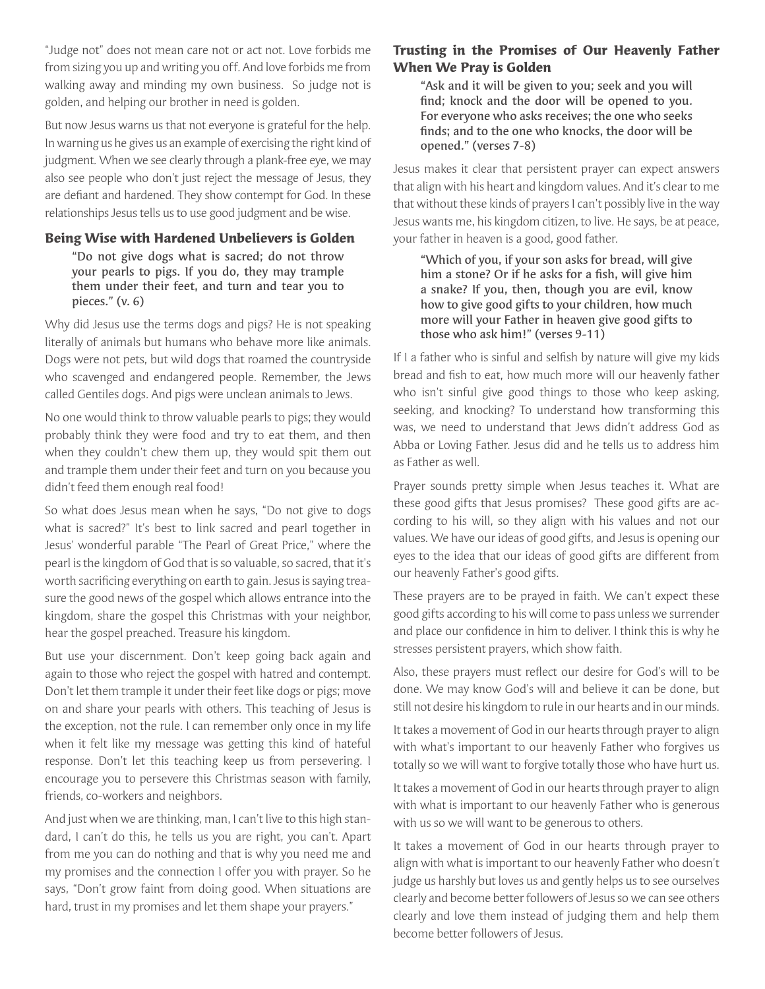"Judge not" does not mean care not or act not. Love forbids me from sizing you up and writing you off. And love forbids me from walking away and minding my own business. So judge not is golden, and helping our brother in need is golden.

But now Jesus warns us that not everyone is grateful for the help. In warning us he gives us an example of exercising the right kind of judgment. When we see clearly through a plank-free eye, we may also see people who don't just reject the message of Jesus, they are defant and hardened. They show contempt for God. In these relationships Jesus tells us to use good judgment and be wise.

### **Being Wise with Hardened Unbelievers is Golden**

"Do not give dogs what is sacred; do not throw your pearls to pigs. If you do, they may trample them under their feet, and turn and tear you to pieces." (v. 6)

Why did Jesus use the terms dogs and pigs? He is not speaking literally of animals but humans who behave more like animals. Dogs were not pets, but wild dogs that roamed the countryside who scavenged and endangered people. Remember, the Jews called Gentiles dogs. And pigs were unclean animals to Jews.

No one would think to throw valuable pearls to pigs; they would probably think they were food and try to eat them, and then when they couldn't chew them up, they would spit them out and trample them under their feet and turn on you because you didn't feed them enough real food!

So what does Jesus mean when he says, "Do not give to dogs what is sacred?" It's best to link sacred and pearl together in Jesus' wonderful parable "The Pearl of Great Price," where the pearl is the kingdom of God that is so valuable, so sacred, that it's worth sacrifcing everything on earth to gain. Jesus is saying treasure the good news of the gospel which allows entrance into the kingdom, share the gospel this Christmas with your neighbor, hear the gospel preached. Treasure his kingdom.

But use your discernment. Don't keep going back again and again to those who reject the gospel with hatred and contempt. Don't let them trample it under their feet like dogs or pigs; move on and share your pearls with others. This teaching of Jesus is the exception, not the rule. I can remember only once in my life when it felt like my message was getting this kind of hateful response. Don't let this teaching keep us from persevering. I encourage you to persevere this Christmas season with family, friends, co-workers and neighbors.

And just when we are thinking, man, I can't live to this high standard, I can't do this, he tells us you are right, you can't. Apart from me you can do nothing and that is why you need me and my promises and the connection I offer you with prayer. So he says, "Don't grow faint from doing good. When situations are hard, trust in my promises and let them shape your prayers."

# **Trusting in the Promises of Our Heavenly Father When We Pray is Golden**

"Ask and it will be given to you; seek and you will fnd; knock and the door will be opened to you. For everyone who asks receives; the one who seeks fnds; and to the one who knocks, the door will be opened." (verses 7-8)

Jesus makes it clear that persistent prayer can expect answers that align with his heart and kingdom values. And it's clear to me that without these kinds of prayers I can't possibly live in the way Jesus wants me, his kingdom citizen, to live. He says, be at peace, your father in heaven is a good, good father.

"Which of you, if your son asks for bread, will give him a stone? Or if he asks for a fish, will give him a snake? If you, then, though you are evil, know how to give good gifts to your children, how much more will your Father in heaven give good gifts to those who ask him!" (verses 9-11)

If I a father who is sinful and selfsh by nature will give my kids bread and fsh to eat, how much more will our heavenly father who isn't sinful give good things to those who keep asking, seeking, and knocking? To understand how transforming this was, we need to understand that Jews didn't address God as Abba or Loving Father. Jesus did and he tells us to address him as Father as well.

Prayer sounds pretty simple when Jesus teaches it. What are these good gifts that Jesus promises? These good gifts are according to his will, so they align with his values and not our values. We have our ideas of good gifts, and Jesus is opening our eyes to the idea that our ideas of good gifts are different from our heavenly Father's good gifts.

These prayers are to be prayed in faith. We can't expect these good gifts according to his will come to pass unless we surrender and place our confdence in him to deliver. I think this is why he stresses persistent prayers, which show faith.

Also, these prayers must refect our desire for God's will to be done. We may know God's will and believe it can be done, but still not desire his kingdom to rule in our hearts and in our minds.

It takes a movement of God in our hearts through prayer to align with what's important to our heavenly Father who forgives us totally so we will want to forgive totally those who have hurt us.

It takes a movement of God in our hearts through prayer to align with what is important to our heavenly Father who is generous with us so we will want to be generous to others.

It takes a movement of God in our hearts through prayer to align with what is important to our heavenly Father who doesn't judge us harshly but loves us and gently helps us to see ourselves clearly and become better followers of Jesus so we can see others clearly and love them instead of judging them and help them become better followers of Jesus.